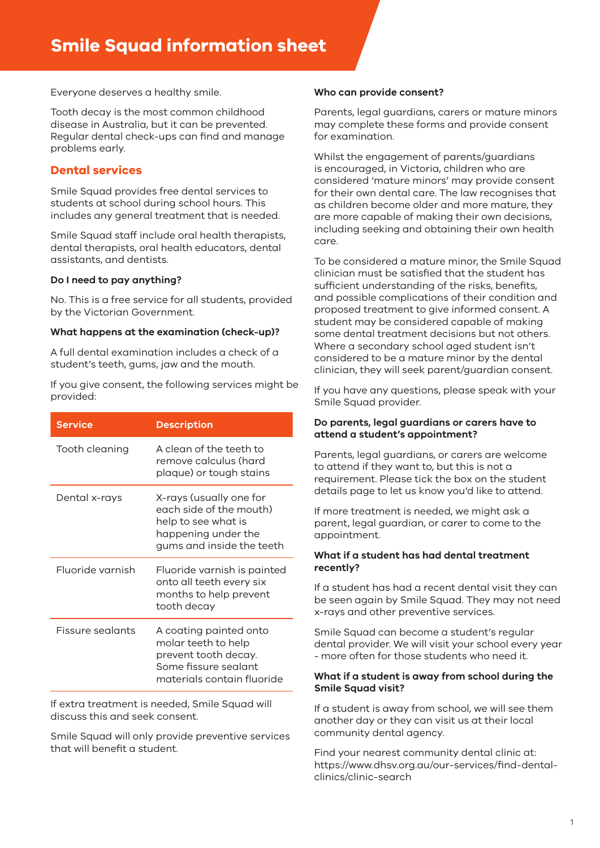Everyone deserves a healthy smile.

Tooth decay is the most common childhood disease in Australia, but it can be prevented. Regular dental check-ups can find and manage problems early.

# **Dental services**

Smile Squad provides free dental services to students at school during school hours. This includes any general treatment that is needed.

Smile Squad staff include oral health therapists, dental therapists, oral health educators, dental assistants, and dentists.

## **Do I need to pay anything?**

No. This is a free service for all students, provided by the Victorian Government.

#### **What happens at the examination (check-up)?**

A full dental examination includes a check of a student's teeth, gums, jaw and the mouth.

If you give consent, the following services might be provided:

| <b>Service</b>   | <b>Description</b>                                                                                                            |
|------------------|-------------------------------------------------------------------------------------------------------------------------------|
| Tooth cleaning   | A clean of the teeth to<br>remove calculus (hard<br>plaque) or tough stains                                                   |
| Dental x-rays    | X-rays (usually one for<br>each side of the mouth)<br>help to see what is<br>happening under the<br>gums and inside the teeth |
| Fluoride varnish | Fluoride varnish is painted<br>onto all teeth every six<br>months to help prevent<br>tooth decay                              |
| Fissure sealants | A coating painted onto<br>molar teeth to help<br>prevent tooth decay.<br>Some fissure sealant<br>materials contain fluoride   |

If extra treatment is needed, Smile Squad will discuss this and seek consent.

Smile Squad will only provide preventive services that will benefit a student.

#### **Who can provide consent?**

Parents, legal guardians, carers or mature minors may complete these forms and provide consent for examination.

Whilst the engagement of parents/guardians is encouraged, in Victoria, children who are considered 'mature minors' may provide consent for their own dental care. The law recognises that as children become older and more mature, they are more capable of making their own decisions, including seeking and obtaining their own health care.

To be considered a mature minor, the Smile Squad clinician must be satisfied that the student has sufficient understanding of the risks, benefits, and possible complications of their condition and proposed treatment to give informed consent. A student may be considered capable of making some dental treatment decisions but not others. Where a secondary school aged student isn't considered to be a mature minor by the dental clinician, they will seek parent/guardian consent.

If you have any questions, please speak with your Smile Squad provider.

### **Do parents, legal guardians or carers have to attend a student's appointment?**

Parents, legal guardians, or carers are welcome to attend if they want to, but this is not a requirement. Please tick the box on the student details page to let us know you'd like to attend.

If more treatment is needed, we might ask a parent, legal guardian, or carer to come to the appointment.

## **What if a student has had dental treatment recently?**

If a student has had a recent dental visit they can be seen again by Smile Squad. They may not need x-rays and other preventive services.

Smile Squad can become a student's regular dental provider. We will visit your school every year - more often for those students who need it.

### **What if a student is away from school during the Smile Squad visit?**

If a student is away from school, we will see them another day or they can visit us at their local community dental agency.

Find your nearest community dental clinic at: https://www.dhsv.org.au/our-services/find-dentalclinics/clinic-search